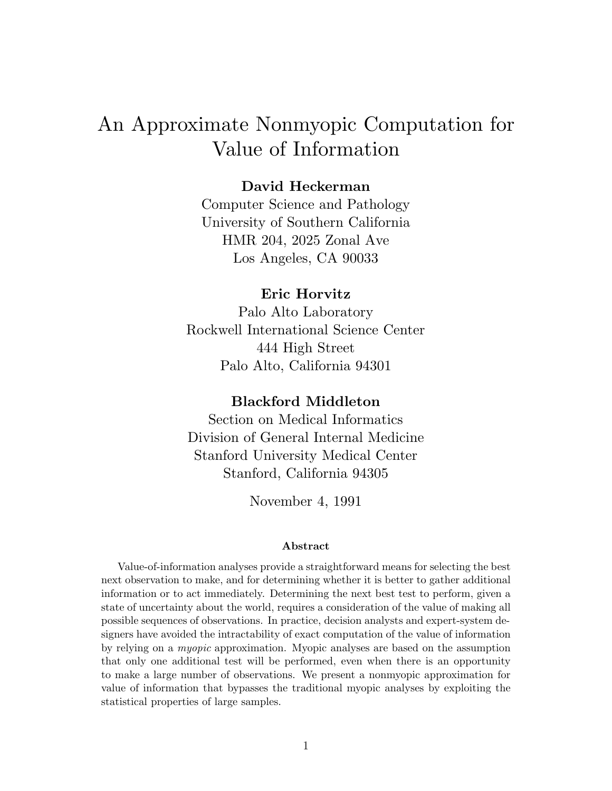# An Approximate Nonmyopic Computation for Value of Information

### **David Heckerman**

Computer Science and Pathology University of Southern California HMR 204, 2025 Zonal Ave Los Angeles, CA 90033

#### **Eric Horvitz**

Palo Alto Laboratory Rockwell International Science Center 444 High Street Palo Alto, California 94301

### **Blackford Middleton**

Section on Medical Informatics Division of General Internal Medicine Stanford University Medical Center Stanford, California 94305

November 4, 1991

#### **Abstract**

Value-of-information analyses provide a straightforward means for selecting the best next observation to make, and for determining whether it is better to gather additional information or to act immediately. Determining the next best test to perform, given a state of uncertainty about the world, requires a consideration of the value of making all possible sequences of observations. In practice, decision analysts and expert-system designers have avoided the intractability of exact computation of the value of information by relying on a myopic approximation. Myopic analyses are based on the assumption that only one additional test will be performed, even when there is an opportunity to make a large number of observations. We present a nonmyopic approximation for value of information that bypasses the traditional myopic analyses by exploiting the statistical properties of large samples.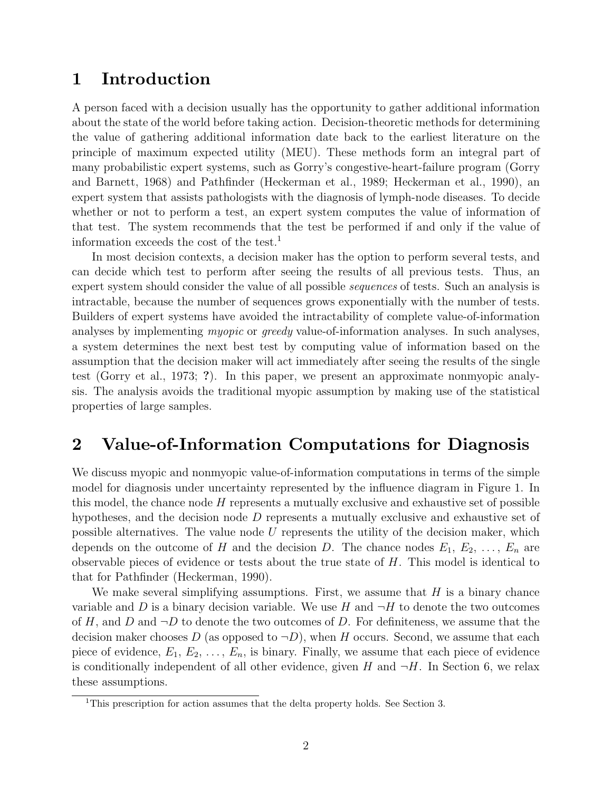### **1 Introduction**

A person faced with a decision usually has the opportunity to gather additional information about the state of the world before taking action. Decision-theoretic methods for determining the value of gathering additional information date back to the earliest literature on the principle of maximum expected utility (MEU). These methods form an integral part of many probabilistic expert systems, such as Gorry's congestive-heart-failure program (Gorry and Barnett, 1968) and Pathfinder (Heckerman et al., 1989; Heckerman et al., 1990), an expert system that assists pathologists with the diagnosis of lymph-node diseases. To decide whether or not to perform a test, an expert system computes the value of information of that test. The system recommends that the test be performed if and only if the value of information exceeds the cost of the test.<sup>1</sup>

In most decision contexts, a decision maker has the option to perform several tests, and can decide which test to perform after seeing the results of all previous tests. Thus, an expert system should consider the value of all possible *sequences* of tests. Such an analysis is intractable, because the number of sequences grows exponentially with the number of tests. Builders of expert systems have avoided the intractability of complete value-of-information analyses by implementing myopic or greedy value-of-information analyses. In such analyses, a system determines the next best test by computing value of information based on the assumption that the decision maker will act immediately after seeing the results of the single test (Gorry et al., 1973; **?**). In this paper, we present an approximate nonmyopic analysis. The analysis avoids the traditional myopic assumption by making use of the statistical properties of large samples.

# **2 Value-of-Information Computations for Diagnosis**

We discuss myopic and nonmyopic value-of-information computations in terms of the simple model for diagnosis under uncertainty represented by the influence diagram in Figure 1. In this model, the chance node  $H$  represents a mutually exclusive and exhaustive set of possible hypotheses, and the decision node D represents a mutually exclusive and exhaustive set of possible alternatives. The value node  $U$  represents the utility of the decision maker, which depends on the outcome of H and the decision D. The chance nodes  $E_1, E_2, \ldots, E_n$  are observable pieces of evidence or tests about the true state of  $H$ . This model is identical to that for Pathfinder (Heckerman, 1990).

We make several simplifying assumptions. First, we assume that  $H$  is a binary chance variable and D is a binary decision variable. We use H and  $\neg H$  to denote the two outcomes of H, and D and  $\neg D$  to denote the two outcomes of D. For definiteness, we assume that the decision maker chooses D (as opposed to  $\neg D$ ), when H occurs. Second, we assume that each piece of evidence,  $E_1, E_2, \ldots, E_n$ , is binary. Finally, we assume that each piece of evidence is conditionally independent of all other evidence, given H and  $\neg H$ . In Section 6, we relax these assumptions.

<sup>&</sup>lt;sup>1</sup>This prescription for action assumes that the delta property holds. See Section 3.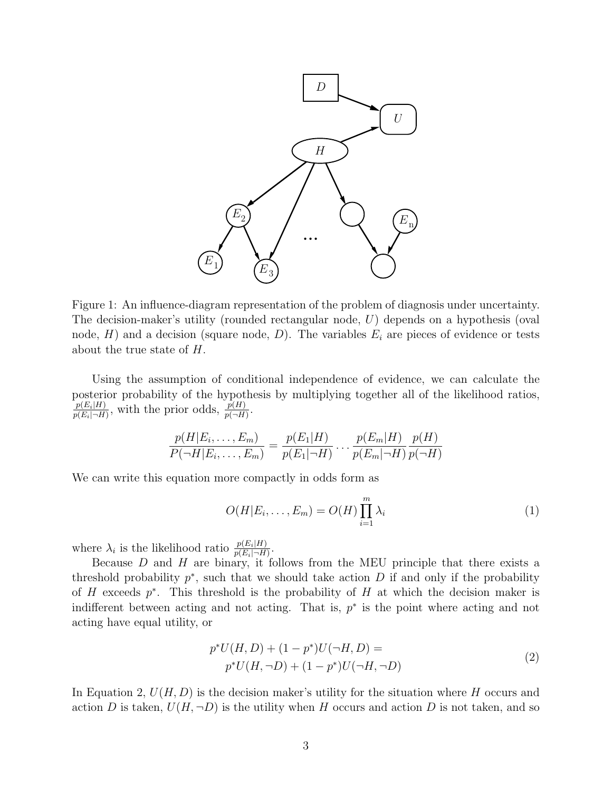

Figure 1: An influence-diagram representation of the problem of diagnosis under uncertainty. The decision-maker's utility (rounded rectangular node, U) depends on a hypothesis (oval node,  $H$ ) and a decision (square node,  $D$ ). The variables  $E_i$  are pieces of evidence or tests about the true state of H.

Using the assumption of conditional independence of evidence, we can calculate the posterior probability of the hypothesis by multiplying together all of the likelihood ratios,  $\frac{p(E_i|H)}{p(E_i|\neg H)}$ , with the prior odds,  $\frac{p(H)}{p(\neg H)}$ .

$$
\frac{p(H|E_i, ..., E_m)}{P(\neg H|E_i, ..., E_m)} = \frac{p(E_1|H)}{p(E_1|\neg H)} \dots \frac{p(E_m|H)}{p(E_m|\neg H)} \frac{p(H)}{p(\neg H)}
$$

We can write this equation more compactly in odds form as

$$
O(H|E_i,\ldots,E_m) = O(H) \prod_{i=1}^m \lambda_i
$$
 (1)

where  $\lambda_i$  is the likelihood ratio  $\frac{p(E_i|H)}{p(E_i|\neg H)}$ .

Because  $D$  and  $H$  are binary, it follows from the MEU principle that there exists a threshold probability  $p^*$ , such that we should take action D if and only if the probability of H exceeds  $p^*$ . This threshold is the probability of H at which the decision maker is indifferent between acting and not acting. That is,  $p^*$  is the point where acting and not acting have equal utility, or

$$
p^*U(H, D) + (1 - p^*)U(\neg H, D) =
$$
  
\n
$$
p^*U(H, \neg D) + (1 - p^*)U(\neg H, \neg D)
$$
\n(2)

In Equation 2,  $U(H, D)$  is the decision maker's utility for the situation where H occurs and action D is taken,  $U(H, \neg D)$  is the utility when H occurs and action D is not taken, and so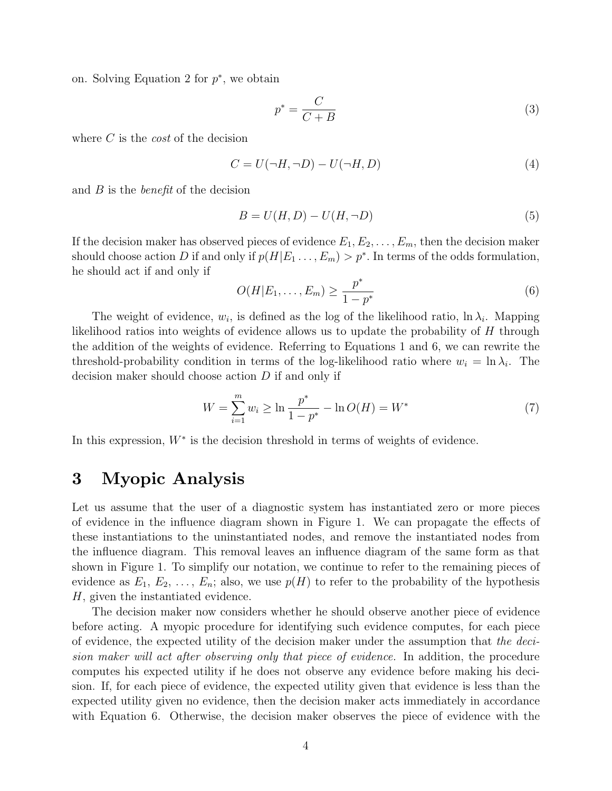on. Solving Equation 2 for  $p^*$ , we obtain

$$
p^* = \frac{C}{C+B} \tag{3}
$$

where C is the *cost* of the decision

$$
C = U(\neg H, \neg D) - U(\neg H, D) \tag{4}
$$

and  $B$  is the *benefit* of the decision

$$
B = U(H, D) - U(H, \neg D) \tag{5}
$$

If the decision maker has observed pieces of evidence  $E_1, E_2, \ldots, E_m$ , then the decision maker should choose action D if and only if  $p(H|E_1 \ldots, E_m) > p^*$ . In terms of the odds formulation, he should act if and only if

$$
O(H|E_1,\ldots,E_m) \geq \frac{p^*}{1-p^*} \tag{6}
$$

The weight of evidence,  $w_i$ , is defined as the log of the likelihood ratio, ln  $\lambda_i$ . Mapping likelihood ratios into weights of evidence allows us to update the probability of H through the addition of the weights of evidence. Referring to Equations 1 and 6, we can rewrite the threshold-probability condition in terms of the log-likelihood ratio where  $w_i = \ln \lambda_i$ . The decision maker should choose action D if and only if

$$
W = \sum_{i=1}^{m} w_i \ge \ln \frac{p^*}{1 - p^*} - \ln O(H) = W^* \tag{7}
$$

In this expression, W<sup>∗</sup> is the decision threshold in terms of weights of evidence.

### **3 Myopic Analysis**

Let us assume that the user of a diagnostic system has instantiated zero or more pieces of evidence in the influence diagram shown in Figure 1. We can propagate the effects of these instantiations to the uninstantiated nodes, and remove the instantiated nodes from the influence diagram. This removal leaves an influence diagram of the same form as that shown in Figure 1. To simplify our notation, we continue to refer to the remaining pieces of evidence as  $E_1, E_2, \ldots, E_n$ ; also, we use  $p(H)$  to refer to the probability of the hypothesis H, given the instantiated evidence.

The decision maker now considers whether he should observe another piece of evidence before acting. A myopic procedure for identifying such evidence computes, for each piece of evidence, the expected utility of the decision maker under the assumption that the decision maker will act after observing only that piece of evidence. In addition, the procedure computes his expected utility if he does not observe any evidence before making his decision. If, for each piece of evidence, the expected utility given that evidence is less than the expected utility given no evidence, then the decision maker acts immediately in accordance with Equation 6. Otherwise, the decision maker observes the piece of evidence with the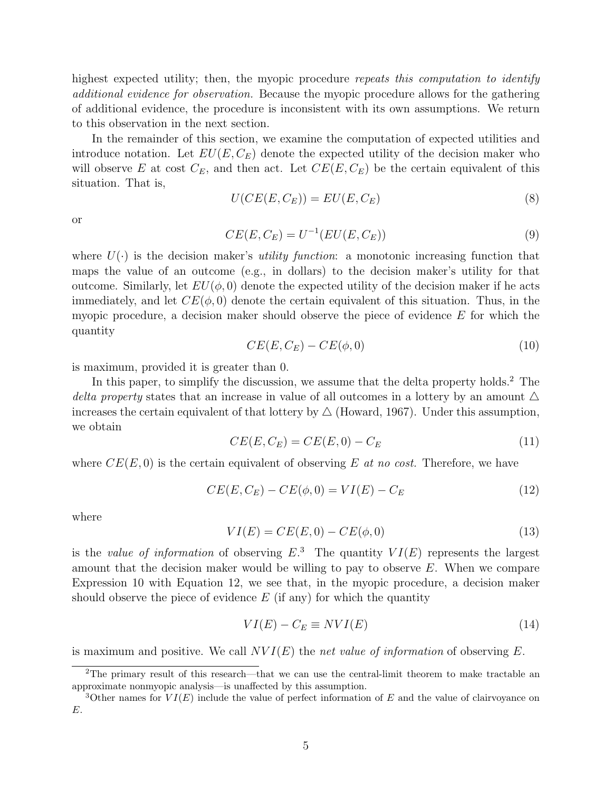highest expected utility; then, the myopic procedure repeats this computation to identify additional evidence for observation. Because the myopic procedure allows for the gathering of additional evidence, the procedure is inconsistent with its own assumptions. We return to this observation in the next section.

In the remainder of this section, we examine the computation of expected utilities and introduce notation. Let  $EU(E, C_E)$  denote the expected utility of the decision maker who will observe E at cost  $C_E$ , and then act. Let  $CE(E, C_E)$  be the certain equivalent of this situation. That is,

$$
U(CE(E, C_E)) = EU(E, C_E)
$$
\n
$$
(8)
$$

or

$$
CE(E, C_E) = U^{-1}(EU(E, C_E))
$$
\n(9)

where  $U(\cdot)$  is the decision maker's *utility function*: a monotonic increasing function that maps the value of an outcome (e.g., in dollars) to the decision maker's utility for that outcome. Similarly, let  $EU(\phi, 0)$  denote the expected utility of the decision maker if he acts immediately, and let  $CE(\phi, 0)$  denote the certain equivalent of this situation. Thus, in the myopic procedure, a decision maker should observe the piece of evidence  $E$  for which the quantity

$$
CE(E, C_E) - CE(\phi, 0)
$$
\n
$$
(10)
$$

is maximum, provided it is greater than 0.

In this paper, to simplify the discussion, we assume that the delta property holds.<sup>2</sup> The delta property states that an increase in value of all outcomes in a lottery by an amount  $\Delta$ increases the certain equivalent of that lottery by  $\triangle$  (Howard, 1967). Under this assumption, we obtain

$$
CE(E, C_E) = CE(E, 0) - C_E \tag{11}
$$

where  $CE(E, 0)$  is the certain equivalent of observing E at no cost. Therefore, we have

$$
CE(E, C_E) - CE(\phi, 0) = VI(E) - C_E
$$
\n(12)

where

$$
VI(E) = CE(E, 0) - CE(\phi, 0)
$$
\n(13)

is the value of information of observing  $E^3$ . The quantity  $VI(E)$  represents the largest amount that the decision maker would be willing to pay to observe  $E$ . When we compare Expression 10 with Equation 12, we see that, in the myopic procedure, a decision maker should observe the piece of evidence  $E$  (if any) for which the quantity

$$
VI(E) - C_E \equiv NVI(E) \tag{14}
$$

is maximum and positive. We call  $NVI(E)$  the net value of information of observing E.

<sup>2</sup>The primary result of this research—that we can use the central-limit theorem to make tractable an approximate nonmyopic analysis—is unaffected by this assumption.

<sup>&</sup>lt;sup>3</sup>Other names for  $VI(E)$  include the value of perfect information of E and the value of clairvoyance on E.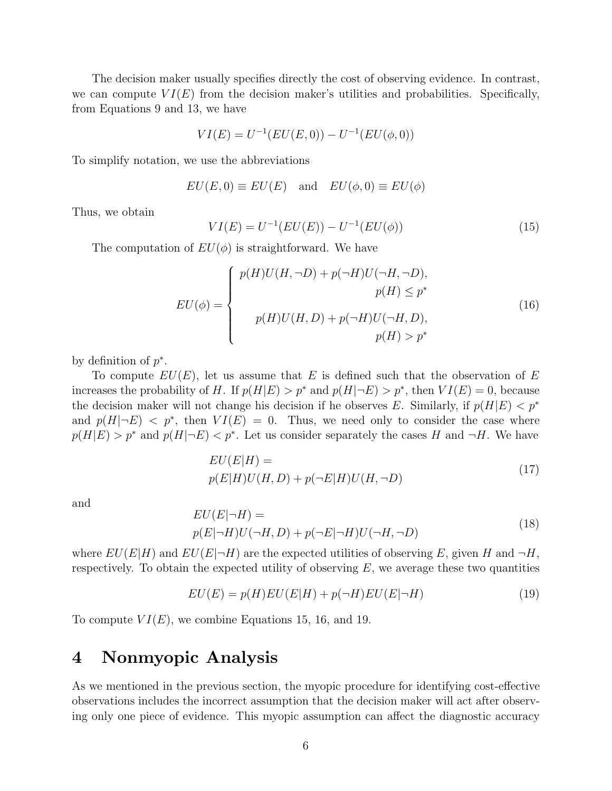The decision maker usually specifies directly the cost of observing evidence. In contrast, we can compute  $VI(E)$  from the decision maker's utilities and probabilities. Specifically, from Equations 9 and 13, we have

$$
VI(E) = U^{-1}(EU(E, 0)) - U^{-1}(EU(\phi, 0))
$$

To simplify notation, we use the abbreviations

$$
EU(E, 0) \equiv EU(E) \quad \text{and} \quad EU(\phi, 0) \equiv EU(\phi)
$$

Thus, we obtain

$$
VI(E) = U^{-1}(EU(E)) - U^{-1}(EU(\phi))
$$
\n(15)

The computation of  $EU(\phi)$  is straightforward. We have

$$
EU(\phi) = \begin{cases} p(H)U(H, \neg D) + p(\neg H)U(\neg H, \neg D), \\ p(H) \le p^* \\ p(H)U(H, D) + p(\neg H)U(\neg H, D), \\ p(H) > p^* \end{cases} \tag{16}
$$

by definition of  $p^*$ .

To compute  $EU(E)$ , let us assume that E is defined such that the observation of E increases the probability of H. If  $p(H|E) > p^*$  and  $p(H|\neg E) > p^*$ , then  $VI(E) = 0$ , because the decision maker will not change his decision if he observes E. Similarly, if  $p(H|E) < p^*$ and  $p(H|\neg E) < p^*$ , then  $VI(E) = 0$ . Thus, we need only to consider the case where  $p(H|E) > p^*$  and  $p(H|\neg E) < p^*$ . Let us consider separately the cases H and  $\neg H$ . We have

$$
EU(E|H) =
$$
  
 
$$
p(E|H)U(H, D) + p(\neg E|H)U(H, \neg D)
$$
 (17)

and

$$
EU(E|\neg H) =
$$
  
 
$$
p(E|\neg H)U(\neg H, D) + p(\neg E|\neg H)U(\neg H, \neg D)
$$
 (18)

where  $EU(E|H)$  and  $EU(E|\neg H)$  are the expected utilities of observing E, given H and  $\neg H$ , respectively. To obtain the expected utility of observing  $E$ , we average these two quantities

$$
EU(E) = p(H)EU(E|H) + p(\neg H)EU(E|\neg H)
$$
\n<sup>(19)</sup>

To compute  $VI(E)$ , we combine Equations 15, 16, and 19.

### **4 Nonmyopic Analysis**

As we mentioned in the previous section, the myopic procedure for identifying cost-effective observations includes the incorrect assumption that the decision maker will act after observing only one piece of evidence. This myopic assumption can affect the diagnostic accuracy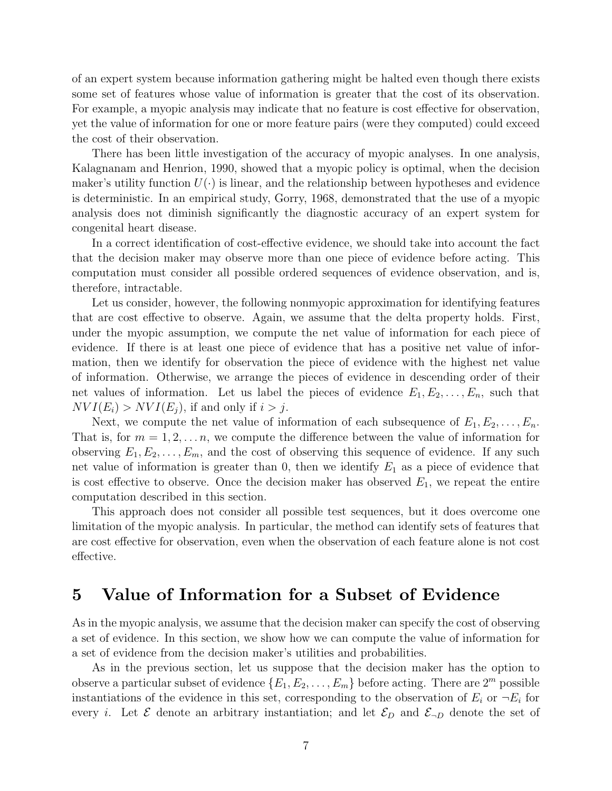of an expert system because information gathering might be halted even though there exists some set of features whose value of information is greater that the cost of its observation. For example, a myopic analysis may indicate that no feature is cost effective for observation, yet the value of information for one or more feature pairs (were they computed) could exceed the cost of their observation.

There has been little investigation of the accuracy of myopic analyses. In one analysis, Kalagnanam and Henrion, 1990, showed that a myopic policy is optimal, when the decision maker's utility function  $U(\cdot)$  is linear, and the relationship between hypotheses and evidence is deterministic. In an empirical study, Gorry, 1968, demonstrated that the use of a myopic analysis does not diminish significantly the diagnostic accuracy of an expert system for congenital heart disease.

In a correct identification of cost-effective evidence, we should take into account the fact that the decision maker may observe more than one piece of evidence before acting. This computation must consider all possible ordered sequences of evidence observation, and is, therefore, intractable.

Let us consider, however, the following nonmyopic approximation for identifying features that are cost effective to observe. Again, we assume that the delta property holds. First, under the myopic assumption, we compute the net value of information for each piece of evidence. If there is at least one piece of evidence that has a positive net value of information, then we identify for observation the piece of evidence with the highest net value of information. Otherwise, we arrange the pieces of evidence in descending order of their net values of information. Let us label the pieces of evidence  $E_1, E_2, \ldots, E_n$ , such that  $NVI(E_i) > NVI(E_j)$ , if and only if  $i > j$ .

Next, we compute the net value of information of each subsequence of  $E_1, E_2, \ldots, E_n$ . That is, for  $m = 1, 2, \ldots, n$ , we compute the difference between the value of information for observing  $E_1, E_2, \ldots, E_m$ , and the cost of observing this sequence of evidence. If any such net value of information is greater than 0, then we identify  $E_1$  as a piece of evidence that is cost effective to observe. Once the decision maker has observed  $E_1$ , we repeat the entire computation described in this section.

This approach does not consider all possible test sequences, but it does overcome one limitation of the myopic analysis. In particular, the method can identify sets of features that are cost effective for observation, even when the observation of each feature alone is not cost effective.

### **5 Value of Information for a Subset of Evidence**

As in the myopic analysis, we assume that the decision maker can specify the cost of observing a set of evidence. In this section, we show how we can compute the value of information for a set of evidence from the decision maker's utilities and probabilities.

As in the previous section, let us suppose that the decision maker has the option to observe a particular subset of evidence  $\{E_1, E_2, \ldots, E_m\}$  before acting. There are  $2^m$  possible instantiations of the evidence in this set, corresponding to the observation of  $E_i$  or  $\neg E_i$  for every *i*. Let  $\mathcal E$  denote an arbitrary instantiation; and let  $\mathcal E_D$  and  $\mathcal E_{\neg D}$  denote the set of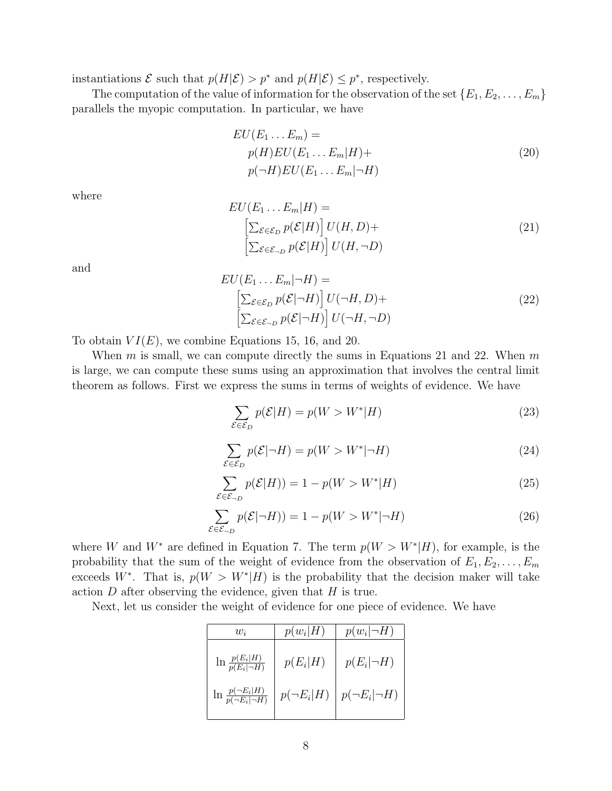instantiations  $\mathcal E$  such that  $p(H|\mathcal E) > p^*$  and  $p(H|\mathcal E) \leq p^*$ , respectively.

The computation of the value of information for the observation of the set  $\{E_1, E_2, \ldots, E_m\}$ parallels the myopic computation. In particular, we have

$$
EU(E_1 \dots E_m) =
$$
  
\n
$$
p(H)EU(E_1 \dots E_m|H) +
$$
  
\n
$$
p(\neg H)EU(E_1 \dots E_m|\neg H)
$$
\n(20)

where

$$
EU(E_1 \dots E_m | H) =
$$
  
\n
$$
\left[ \sum_{\mathcal{E} \in \mathcal{E}_D} p(\mathcal{E} | H) \right] U(H, D) +
$$
  
\n
$$
\left[ \sum_{\mathcal{E} \in \mathcal{E}_{\neg D}} p(\mathcal{E} | H) \right] U(H, \neg D)
$$
\n(21)

and

$$
EU(E_1 \dots E_m|\neg H) =
$$
  
\n
$$
\left[\sum_{\mathcal{E} \in \mathcal{E}_D} p(\mathcal{E}|\neg H)\right] U(\neg H, D) +
$$
  
\n
$$
\left[\sum_{\mathcal{E} \in \mathcal{E}_{\neg D}} p(\mathcal{E}|\neg H)\right] U(\neg H, \neg D)
$$
\n(22)

To obtain  $VI(E)$ , we combine Equations 15, 16, and 20.

When m is small, we can compute directly the sums in Equations 21 and 22. When  $m$ is large, we can compute these sums using an approximation that involves the central limit theorem as follows. First we express the sums in terms of weights of evidence. We have

$$
\sum_{\mathcal{E}\in\mathcal{E}_D} p(\mathcal{E}|H) = p(W > W^*|H)
$$
\n(23)

$$
\sum_{\mathcal{E}\in\mathcal{E}_D} p(\mathcal{E}|\neg H) = p(W > W^*|\neg H) \tag{24}
$$

$$
\sum_{\mathcal{E}\in\mathcal{E}_{\neg D}} p(\mathcal{E}|H)) = 1 - p(W > W^*|H)
$$
\n(25)

$$
\sum_{\mathcal{E}\in\mathcal{E}_{\neg D}} p(\mathcal{E}|\neg H)) = 1 - p(W > W^*|\neg H) \tag{26}
$$

where W and  $W^*$  are defined in Equation 7. The term  $p(W > W^*|H)$ , for example, is the probability that the sum of the weight of evidence from the observation of  $E_1, E_2, \ldots, E_m$ exceeds W<sup>∗</sup>. That is,  $p(W > W<sup>*</sup>|H)$  is the probability that the decision maker will take action  $D$  after observing the evidence, given that  $H$  is true.

Next, let us consider the weight of evidence for one piece of evidence. We have

| $w_i$                                | $p(w_i H)$ | $p(w_i \mid \neg H)$                                                                |
|--------------------------------------|------------|-------------------------------------------------------------------------------------|
| $\ln \frac{p(E_i H)}{p(E_i \neg H)}$ | $p(E_i H)$ | $p(E_i \neg H)$                                                                     |
|                                      |            | $\ln \frac{p(\neg E_i H)}{p(\neg E_i \neg H)}$ $p(\neg E_i H)$ $p(\neg E_i \neg H)$ |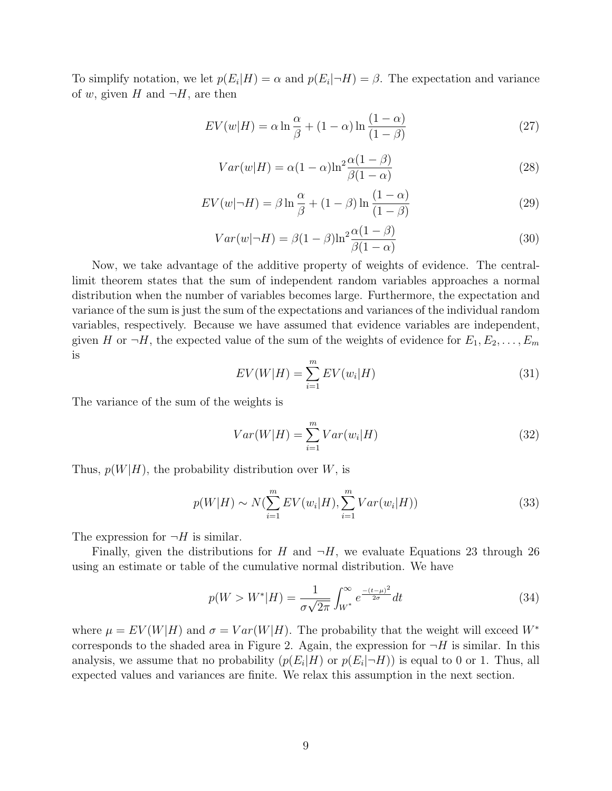To simplify notation, we let  $p(E_i|H) = \alpha$  and  $p(E_i|\neg H) = \beta$ . The expectation and variance of w, given H and  $\neg H$ , are then

$$
EV(w|H) = \alpha \ln \frac{\alpha}{\beta} + (1 - \alpha) \ln \frac{(1 - \alpha)}{(1 - \beta)}
$$
\n(27)

$$
Var(w|H) = \alpha (1 - \alpha) \ln^2 \frac{\alpha (1 - \beta)}{\beta (1 - \alpha)}
$$
\n(28)

$$
EV(w|\neg H) = \beta \ln \frac{\alpha}{\beta} + (1-\beta) \ln \frac{(1-\alpha)}{(1-\beta)}
$$
\n(29)

$$
Var(w|\neg H) = \beta(1-\beta)\ln^2 \frac{\alpha(1-\beta)}{\beta(1-\alpha)}
$$
\n(30)

Now, we take advantage of the additive property of weights of evidence. The centrallimit theorem states that the sum of independent random variables approaches a normal distribution when the number of variables becomes large. Furthermore, the expectation and variance of the sum is just the sum of the expectations and variances of the individual random variables, respectively. Because we have assumed that evidence variables are independent, given H or  $\neg H$ , the expected value of the sum of the weights of evidence for  $E_1, E_2, \ldots, E_m$ is

$$
EV(W|H) = \sum_{i=1}^{m} EV(w_i|H)
$$
\n(31)

The variance of the sum of the weights is

$$
Var(W|H) = \sum_{i=1}^{m} Var(w_i|H)
$$
\n(32)

Thus,  $p(W|H)$ , the probability distribution over W, is

$$
p(W|H) \sim N(\sum_{i=1}^{m} EV(w_i|H), \sum_{i=1}^{m} Var(w_i|H))
$$
\n(33)

The expression for  $\neg H$  is similar.

Finally, given the distributions for H and  $\neg H$ , we evaluate Equations 23 through 26 using an estimate or table of the cumulative normal distribution. We have

$$
p(W > W^*|H) = \frac{1}{\sigma\sqrt{2\pi}} \int_{W^*}^{\infty} e^{\frac{-(t-\mu)^2}{2\sigma}} dt
$$
 (34)

where  $\mu = EV(W|H)$  and  $\sigma = Var(W|H)$ . The probability that the weight will exceed  $W^*$ corresponds to the shaded area in Figure 2. Again, the expression for  $\neg H$  is similar. In this analysis, we assume that no probability  $(p(E_i|H))$  or  $p(E_i|\neg H))$  is equal to 0 or 1. Thus, all expected values and variances are finite. We relax this assumption in the next section.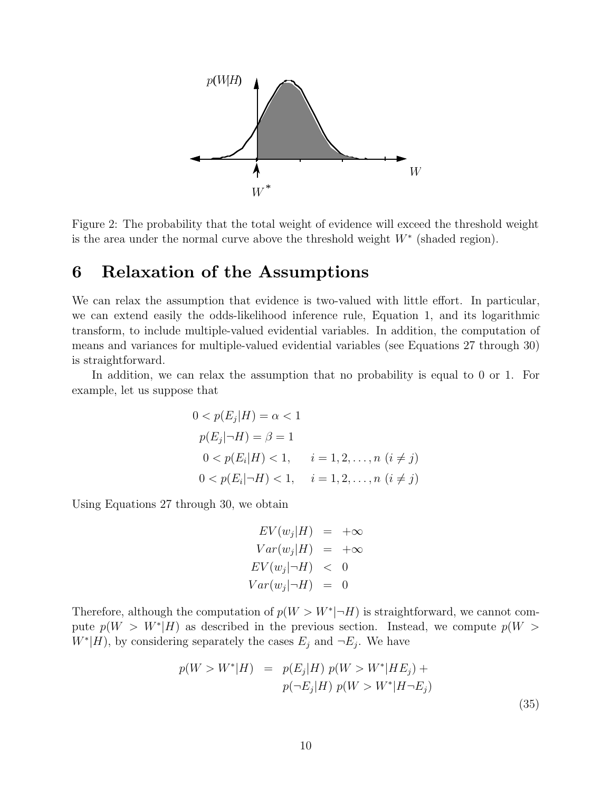

Figure 2: The probability that the total weight of evidence will exceed the threshold weight is the area under the normal curve above the threshold weight  $W^*$  (shaded region).

### **6 Relaxation of the Assumptions**

We can relax the assumption that evidence is two-valued with little effort. In particular, we can extend easily the odds-likelihood inference rule, Equation 1, and its logarithmic transform, to include multiple-valued evidential variables. In addition, the computation of means and variances for multiple-valued evidential variables (see Equations 27 through 30) is straightforward.

In addition, we can relax the assumption that no probability is equal to 0 or 1. For example, let us suppose that

$$
0 < p(E_j|H) = \alpha < 1
$$
\n
$$
p(E_j|\neg H) = \beta = 1
$$
\n
$$
0 < p(E_i|H) < 1, \quad i = 1, 2, \dots, n \ (i \neq j)
$$
\n
$$
0 < p(E_i|\neg H) < 1, \quad i = 1, 2, \dots, n \ (i \neq j)
$$

Using Equations 27 through 30, we obtain

$$
EV(w_j|H) = +\infty
$$
  
\n
$$
Var(w_j|H) = +\infty
$$
  
\n
$$
EV(w_j|\neg H) < 0
$$
  
\n
$$
Var(w_j|\neg H) = 0
$$

Therefore, although the computation of  $p(W > W^*|\neg H)$  is straightforward, we cannot compute  $p(W > W^*|H)$  as described in the previous section. Instead, we compute  $p(W >$  $W^*[H]$ , by considering separately the cases  $E_j$  and  $\neg E_j$ . We have

$$
p(W > W^*|H) = p(E_j|H) p(W > W^*|HE_j) +
$$
  
\n
$$
p(\neg E_j|H) p(W > W^*|H\neg E_j)
$$
\n(35)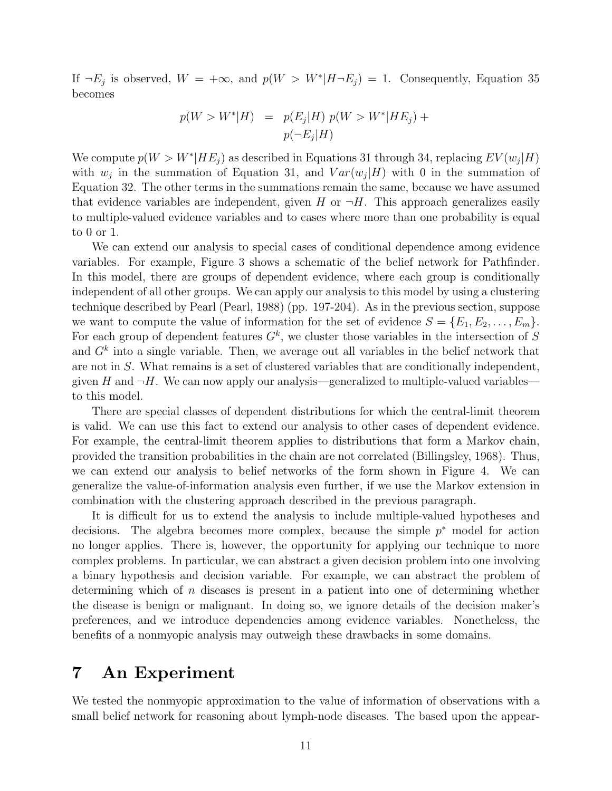If  $\neg E_j$  is observed,  $W = +\infty$ , and  $p(W > W^*|H\neg E_j) = 1$ . Consequently, Equation 35 becomes

$$
p(W > W^*|H) = p(E_j|H) p(W > W^*|HE_j) + p(\neg E_j|H)
$$

We compute  $p(W > W^*|HE_i)$  as described in Equations 31 through 34, replacing  $EV(w_i|H)$ with  $w_j$  in the summation of Equation 31, and  $Var(w_j|H)$  with 0 in the summation of Equation 32. The other terms in the summations remain the same, because we have assumed that evidence variables are independent, given H or  $\neg H$ . This approach generalizes easily to multiple-valued evidence variables and to cases where more than one probability is equal to 0 or 1.

We can extend our analysis to special cases of conditional dependence among evidence variables. For example, Figure 3 shows a schematic of the belief network for Pathfinder. In this model, there are groups of dependent evidence, where each group is conditionally independent of all other groups. We can apply our analysis to this model by using a clustering technique described by Pearl (Pearl, 1988) (pp. 197-204). As in the previous section, suppose we want to compute the value of information for the set of evidence  $S = \{E_1, E_2, \ldots, E_m\}$ . For each group of dependent features  $G<sup>k</sup>$ , we cluster those variables in the intersection of S and  $G<sup>k</sup>$  into a single variable. Then, we average out all variables in the belief network that are not in S. What remains is a set of clustered variables that are conditionally independent, given H and  $\neg H$ . We can now apply our analysis—generalized to multiple-valued variables to this model.

There are special classes of dependent distributions for which the central-limit theorem is valid. We can use this fact to extend our analysis to other cases of dependent evidence. For example, the central-limit theorem applies to distributions that form a Markov chain, provided the transition probabilities in the chain are not correlated (Billingsley, 1968). Thus, we can extend our analysis to belief networks of the form shown in Figure 4. We can generalize the value-of-information analysis even further, if we use the Markov extension in combination with the clustering approach described in the previous paragraph.

It is difficult for us to extend the analysis to include multiple-valued hypotheses and decisions. The algebra becomes more complex, because the simple  $p^*$  model for action no longer applies. There is, however, the opportunity for applying our technique to more complex problems. In particular, we can abstract a given decision problem into one involving a binary hypothesis and decision variable. For example, we can abstract the problem of determining which of n diseases is present in a patient into one of determining whether the disease is benign or malignant. In doing so, we ignore details of the decision maker's preferences, and we introduce dependencies among evidence variables. Nonetheless, the benefits of a nonmyopic analysis may outweigh these drawbacks in some domains.

# **7 An Experiment**

We tested the nonmyopic approximation to the value of information of observations with a small belief network for reasoning about lymph-node diseases. The based upon the appear-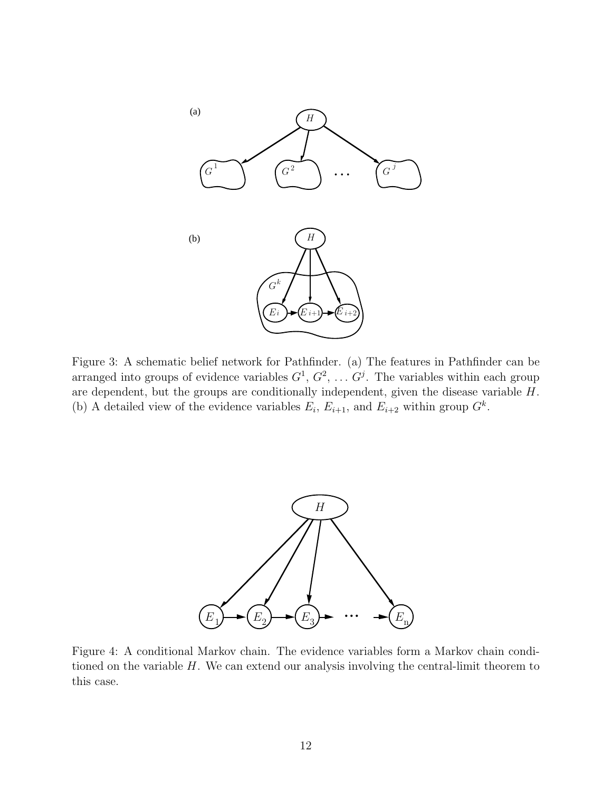

Figure 3: A schematic belief network for Pathfinder. (a) The features in Pathfinder can be arranged into groups of evidence variables  $G^1, G^2, \ldots G^j$ . The variables within each group are dependent, but the groups are conditionally independent, given the disease variable H. (b) A detailed view of the evidence variables  $E_i$ ,  $E_{i+1}$ , and  $E_{i+2}$  within group  $G^k$ .



Figure 4: A conditional Markov chain. The evidence variables form a Markov chain conditioned on the variable  $H$ . We can extend our analysis involving the central-limit theorem to this case.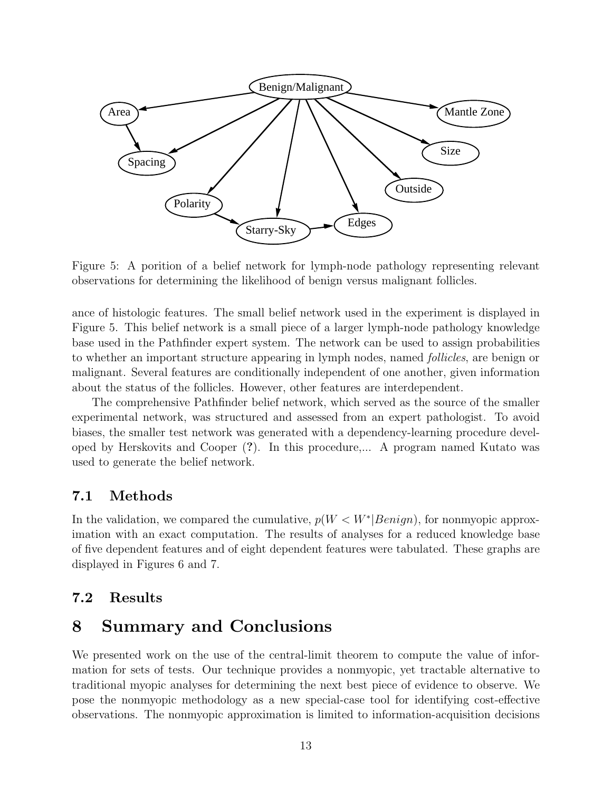

Figure 5: A porition of a belief network for lymph-node pathology representing relevant observations for determining the likelihood of benign versus malignant follicles.

ance of histologic features. The small belief network used in the experiment is displayed in Figure 5. This belief network is a small piece of a larger lymph-node pathology knowledge base used in the Pathfinder expert system. The network can be used to assign probabilities to whether an important structure appearing in lymph nodes, named follicles, are benign or malignant. Several features are conditionally independent of one another, given information about the status of the follicles. However, other features are interdependent.

The comprehensive Pathfinder belief network, which served as the source of the smaller experimental network, was structured and assessed from an expert pathologist. To avoid biases, the smaller test network was generated with a dependency-learning procedure developed by Herskovits and Cooper (**?**). In this procedure,... A program named Kutato was used to generate the belief network.

#### **7.1 Methods**

In the validation, we compared the cumulative,  $p(W < W^*|Benign)$ , for nonmyopic approximation with an exact computation. The results of analyses for a reduced knowledge base of five dependent features and of eight dependent features were tabulated. These graphs are displayed in Figures 6 and 7.

#### **7.2 Results**

# **8 Summary and Conclusions**

We presented work on the use of the central-limit theorem to compute the value of information for sets of tests. Our technique provides a nonmyopic, yet tractable alternative to traditional myopic analyses for determining the next best piece of evidence to observe. We pose the nonmyopic methodology as a new special-case tool for identifying cost-effective observations. The nonmyopic approximation is limited to information-acquisition decisions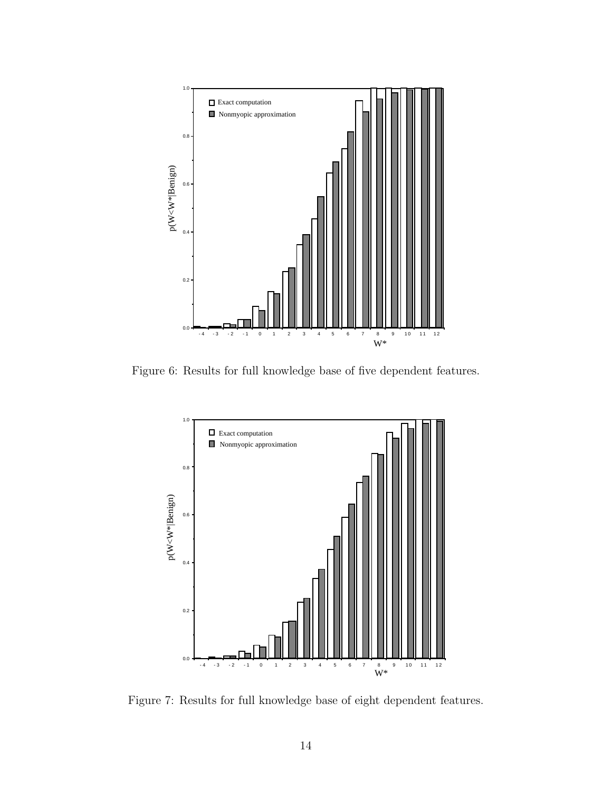

Figure 6: Results for full knowledge base of five dependent features.



Figure 7: Results for full knowledge base of eight dependent features.